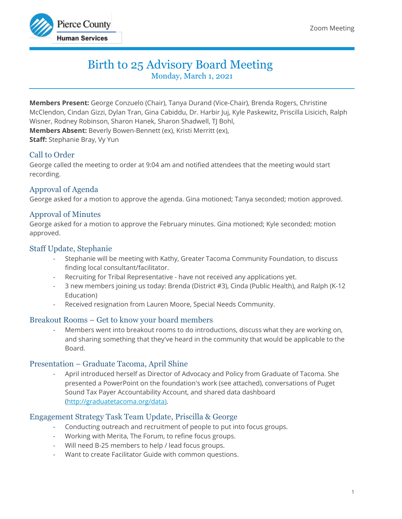

# Birth to 25 Advisory Board Meeting

Monday, March 1, 2021

**Members Present:** George Conzuelo (Chair), Tanya Durand (Vice-Chair), Brenda Rogers, Christine McClendon, Cindan Gizzi, Dylan Tran, Gina Cabiddu, Dr. Harbir Juj, Kyle Paskewitz, Priscilla Lisicich, Ralph Wisner, Rodney Robinson, Sharon Hanek, Sharon Shadwell, TJ Bohl, **Members Absent:** Beverly Bowen-Bennett (ex), Kristi Merritt (ex), **Staff:** Stephanie Bray, Vy Yun

# Call to Order

George called the meeting to order at 9:04 am and notified attendees that the meeting would start recording.

# Approval of Agenda

George asked for a motion to approve the agenda. Gina motioned; Tanya seconded; motion approved.

## Approval of Minutes

George asked for a motion to approve the February minutes. Gina motioned; Kyle seconded; motion approved.

## Staff Update, Stephanie

- Stephanie will be meeting with Kathy, Greater Tacoma Community Foundation, to discuss finding local consultant/facilitator.
- Recruiting for Tribal Representative have not received any applications yet.
- 3 new members joining us today: Brenda (District #3), Cinda (Public Health), and Ralph (K-12 Education)
- Received resignation from Lauren Moore, Special Needs Community.

## Breakout Rooms – Get to know your board members

Members went into breakout rooms to do introductions, discuss what they are working on, and sharing something that they've heard in the community that would be applicable to the Board.

## Presentation – Graduate Tacoma, April Shine

- April introduced herself as Director of Advocacy and Policy from Graduate of Tacoma. She presented a PowerPoint on the foundation's work (see attached), conversations of Puget Sound Tax Payer Accountability Account, and shared data dashboard [\(http://graduatetacoma.org/data\)](http://graduatetacoma.org/data).

# Engagement Strategy Task Team Update, Priscilla & George

- Conducting outreach and recruitment of people to put into focus groups.
- Working with Merita, The Forum, to refine focus groups.
- Will need B-25 members to help / lead focus groups.
- Want to create Facilitator Guide with common questions.